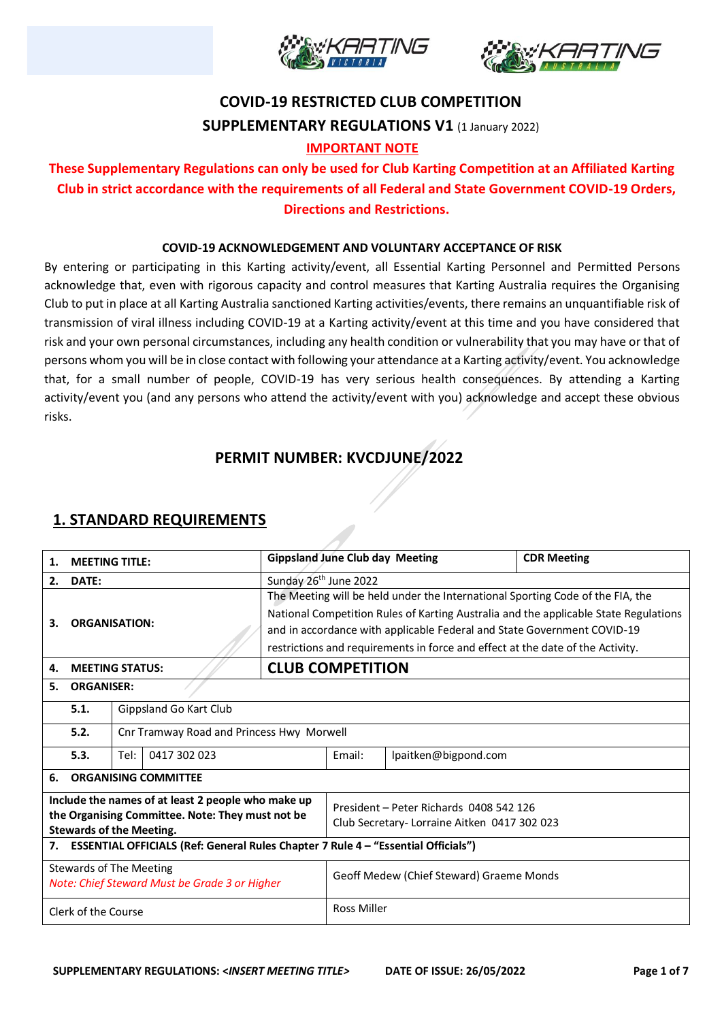



# **COVID-19 RESTRICTED CLUB COMPETITION SUPPLEMENTARY REGULATIONS V1** (1 January 2022)

### **IMPORTANT NOTE**

### **These Supplementary Regulations can only be used for Club Karting Competition at an Affiliated Karting Club in strict accordance with the requirements of all Federal and State Government COVID-19 Orders, Directions and Restrictions.**

#### **COVID-19 ACKNOWLEDGEMENT AND VOLUNTARY ACCEPTANCE OF RISK**

By entering or participating in this Karting activity/event, all Essential Karting Personnel and Permitted Persons acknowledge that, even with rigorous capacity and control measures that Karting Australia requires the Organising Club to put in place at all Karting Australia sanctioned Karting activities/events, there remains an unquantifiable risk of transmission of viral illness including COVID-19 at a Karting activity/event at this time and you have considered that risk and your own personal circumstances, including any health condition or vulnerability that you may have or that of persons whom you will be in close contact with following your attendance at a Karting activity/event. You acknowledge that, for a small number of people, COVID-19 has very serious health consequences. By attending a Karting activity/event you (and any persons who attend the activity/event with you) acknowledge and accept these obvious risks.

## **PERMIT NUMBER: KVCDJUNE/2022**

### **1. STANDARD REQUIREMENTS**

| 1.                                                                                      | <b>Gippsland June Club day Meeting</b><br><b>MEETING TITLE:</b> |                                           |                                                                                      |                                             | <b>CDR Meeting</b> |  |  |
|-----------------------------------------------------------------------------------------|-----------------------------------------------------------------|-------------------------------------------|--------------------------------------------------------------------------------------|---------------------------------------------|--------------------|--|--|
| DATE:<br>2.                                                                             |                                                                 |                                           | Sunday 26 <sup>th</sup> June 2022                                                    |                                             |                    |  |  |
|                                                                                         | <b>ORGANISATION:</b>                                            |                                           | The Meeting will be held under the International Sporting Code of the FIA, the       |                                             |                    |  |  |
|                                                                                         |                                                                 |                                           | National Competition Rules of Karting Australia and the applicable State Regulations |                                             |                    |  |  |
| З.                                                                                      |                                                                 |                                           | and in accordance with applicable Federal and State Government COVID-19              |                                             |                    |  |  |
|                                                                                         |                                                                 |                                           | restrictions and requirements in force and effect at the date of the Activity.       |                                             |                    |  |  |
| 4.                                                                                      |                                                                 | <b>MEETING STATUS:</b>                    | <b>CLUB COMPETITION</b>                                                              |                                             |                    |  |  |
| 5.                                                                                      | <b>ORGANISER:</b>                                               |                                           |                                                                                      |                                             |                    |  |  |
|                                                                                         | 5.1.                                                            | Gippsland Go Kart Club                    |                                                                                      |                                             |                    |  |  |
|                                                                                         | 5.2.                                                            | Cnr Tramway Road and Princess Hwy Morwell |                                                                                      |                                             |                    |  |  |
| Tel:<br>0417 302 023<br>5.3.                                                            |                                                                 |                                           | Email:                                                                               | lpaitken@bigpond.com                        |                    |  |  |
| 6.                                                                                      | <b>ORGANISING COMMITTEE</b>                                     |                                           |                                                                                      |                                             |                    |  |  |
| Include the names of at least 2 people who make up                                      |                                                                 |                                           |                                                                                      | President - Peter Richards 0408 542 126     |                    |  |  |
| the Organising Committee. Note: They must not be<br><b>Stewards of the Meeting.</b>     |                                                                 |                                           |                                                                                      | Club Secretary-Lorraine Aitken 0417 302 023 |                    |  |  |
| ESSENTIAL OFFICIALS (Ref: General Rules Chapter 7 Rule 4 - "Essential Officials")<br>7. |                                                                 |                                           |                                                                                      |                                             |                    |  |  |
| <b>Stewards of The Meeting</b><br>Note: Chief Steward Must be Grade 3 or Higher         |                                                                 |                                           |                                                                                      | Geoff Medew (Chief Steward) Graeme Monds    |                    |  |  |
| Clerk of the Course                                                                     |                                                                 |                                           | <b>Ross Miller</b>                                                                   |                                             |                    |  |  |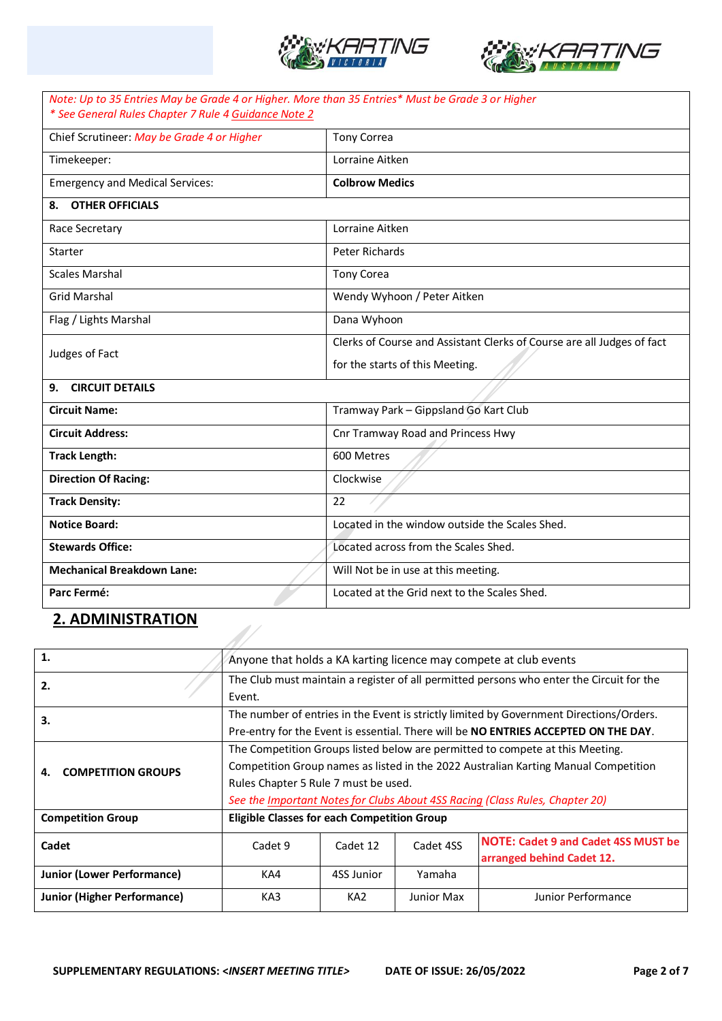



| Note: Up to 35 Entries May be Grade 4 or Higher. More than 35 Entries* Must be Grade 3 or Higher<br>* See General Rules Chapter 7 Rule 4 Guidance Note 2 |                                                                        |  |  |  |
|----------------------------------------------------------------------------------------------------------------------------------------------------------|------------------------------------------------------------------------|--|--|--|
| Chief Scrutineer: May be Grade 4 or Higher                                                                                                               | <b>Tony Correa</b>                                                     |  |  |  |
| Timekeeper:                                                                                                                                              | Lorraine Aitken                                                        |  |  |  |
| <b>Emergency and Medical Services:</b>                                                                                                                   | <b>Colbrow Medics</b>                                                  |  |  |  |
| 8. OTHER OFFICIALS                                                                                                                                       |                                                                        |  |  |  |
| Race Secretary                                                                                                                                           | Lorraine Aitken                                                        |  |  |  |
| Starter                                                                                                                                                  | Peter Richards                                                         |  |  |  |
| <b>Scales Marshal</b>                                                                                                                                    | <b>Tony Corea</b>                                                      |  |  |  |
| <b>Grid Marshal</b>                                                                                                                                      | Wendy Wyhoon / Peter Aitken                                            |  |  |  |
| Flag / Lights Marshal                                                                                                                                    | Dana Wyhoon                                                            |  |  |  |
| Judges of Fact                                                                                                                                           | Clerks of Course and Assistant Clerks of Course are all Judges of fact |  |  |  |
|                                                                                                                                                          | for the starts of this Meeting.                                        |  |  |  |
| 9. CIRCUIT DETAILS                                                                                                                                       |                                                                        |  |  |  |
| <b>Circuit Name:</b>                                                                                                                                     | Tramway Park - Gippsland Go Kart Club                                  |  |  |  |
| <b>Circuit Address:</b>                                                                                                                                  | Cnr Tramway Road and Princess Hwy                                      |  |  |  |
| <b>Track Length:</b>                                                                                                                                     | 600 Metres                                                             |  |  |  |
| <b>Direction Of Racing:</b>                                                                                                                              | Clockwise                                                              |  |  |  |
| <b>Track Density:</b>                                                                                                                                    | 22                                                                     |  |  |  |
| <b>Notice Board:</b>                                                                                                                                     | Located in the window outside the Scales Shed.                         |  |  |  |
| <b>Stewards Office:</b>                                                                                                                                  | Located across from the Scales Shed.                                   |  |  |  |
| <b>Mechanical Breakdown Lane:</b>                                                                                                                        | Will Not be in use at this meeting.                                    |  |  |  |
| Parc Fermé:                                                                                                                                              | Located at the Grid next to the Scales Shed.                           |  |  |  |

## **2. ADMINISTRATION**

| 1.                                 |                           |                                                                                          |                 |            | Anyone that holds a KA karting licence may compete at club events |  |
|------------------------------------|---------------------------|------------------------------------------------------------------------------------------|-----------------|------------|-------------------------------------------------------------------|--|
| 2.                                 |                           | The Club must maintain a register of all permitted persons who enter the Circuit for the |                 |            |                                                                   |  |
|                                    |                           | Event.                                                                                   |                 |            |                                                                   |  |
| З.                                 |                           | The number of entries in the Event is strictly limited by Government Directions/Orders.  |                 |            |                                                                   |  |
|                                    |                           | Pre-entry for the Event is essential. There will be NO ENTRIES ACCEPTED ON THE DAY.      |                 |            |                                                                   |  |
|                                    |                           | The Competition Groups listed below are permitted to compete at this Meeting.            |                 |            |                                                                   |  |
| 4.                                 | <b>COMPETITION GROUPS</b> | Competition Group names as listed in the 2022 Australian Karting Manual Competition      |                 |            |                                                                   |  |
|                                    |                           | Rules Chapter 5 Rule 7 must be used.                                                     |                 |            |                                                                   |  |
|                                    |                           | See the Important Notes for Clubs About 4SS Racing (Class Rules, Chapter 20)             |                 |            |                                                                   |  |
| <b>Competition Group</b>           |                           | <b>Eligible Classes for each Competition Group</b>                                       |                 |            |                                                                   |  |
| Cadet                              |                           | Cadet 9                                                                                  | Cadet 12        | Cadet 4SS  | <b>NOTE: Cadet 9 and Cadet 4SS MUST be</b>                        |  |
|                                    |                           |                                                                                          |                 |            | arranged behind Cadet 12.                                         |  |
| <b>Junior (Lower Performance)</b>  |                           | KA4                                                                                      | 4SS Junior      | Yamaha     |                                                                   |  |
| <b>Junior (Higher Performance)</b> |                           | KA3                                                                                      | KA <sub>2</sub> | Junior Max | Junior Performance                                                |  |
|                                    |                           |                                                                                          |                 |            |                                                                   |  |

L 1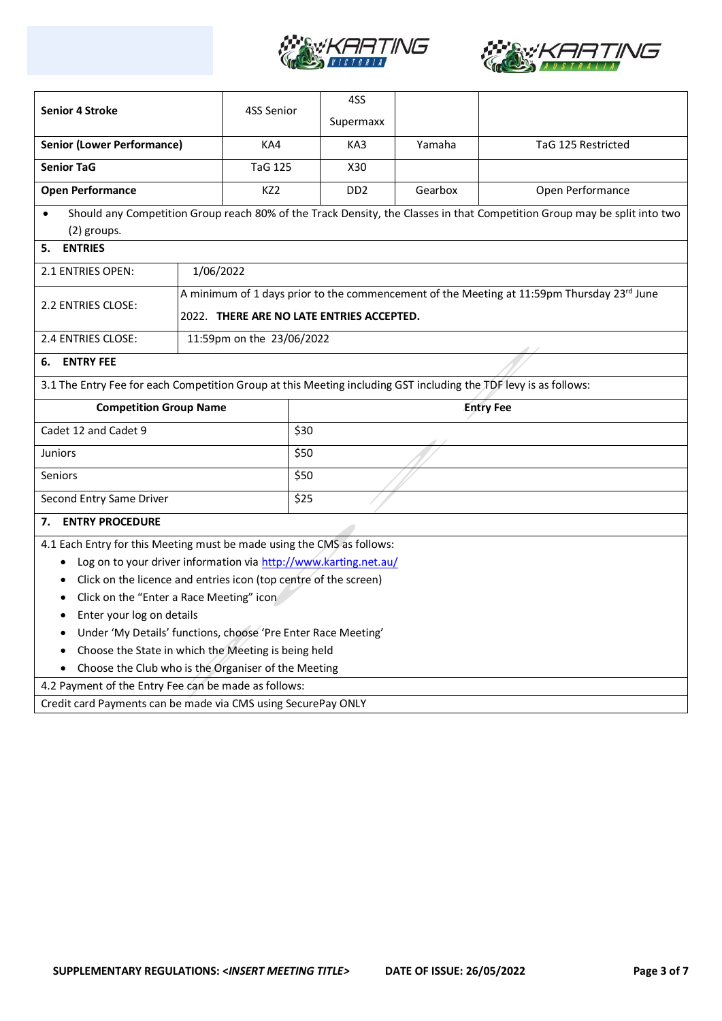



|                                                                                                                                                         |                                           |                  | 4SS                         |         |                                                                                                                          |
|---------------------------------------------------------------------------------------------------------------------------------------------------------|-------------------------------------------|------------------|-----------------------------|---------|--------------------------------------------------------------------------------------------------------------------------|
| <b>Senior 4 Stroke</b>                                                                                                                                  |                                           | 4SS Senior       | Supermaxx                   |         |                                                                                                                          |
| <b>Senior (Lower Performance)</b>                                                                                                                       |                                           | KA4              | KA3                         | Yamaha  | TaG 125 Restricted                                                                                                       |
| <b>Senior TaG</b>                                                                                                                                       |                                           | <b>TaG 125</b>   | X30                         |         |                                                                                                                          |
| <b>Open Performance</b>                                                                                                                                 |                                           | KZ2              | D <sub>D</sub> <sub>2</sub> | Gearbox | Open Performance                                                                                                         |
| $\bullet$                                                                                                                                               |                                           |                  |                             |         | Should any Competition Group reach 80% of the Track Density, the Classes in that Competition Group may be split into two |
| (2) groups.                                                                                                                                             |                                           |                  |                             |         |                                                                                                                          |
| <b>ENTRIES</b><br>5.                                                                                                                                    |                                           |                  |                             |         |                                                                                                                          |
| 2.1 ENTRIES OPEN:                                                                                                                                       | 1/06/2022                                 |                  |                             |         |                                                                                                                          |
|                                                                                                                                                         |                                           |                  |                             |         | A minimum of 1 days prior to the commencement of the Meeting at 11:59pm Thursday 23rd June                               |
| 2.2 ENTRIES CLOSE:                                                                                                                                      | 2022. THERE ARE NO LATE ENTRIES ACCEPTED. |                  |                             |         |                                                                                                                          |
| 2.4 ENTRIES CLOSE:                                                                                                                                      | 11:59pm on the 23/06/2022                 |                  |                             |         |                                                                                                                          |
| <b>ENTRY FEE</b><br>6.                                                                                                                                  |                                           |                  |                             |         |                                                                                                                          |
| 3.1 The Entry Fee for each Competition Group at this Meeting including GST including the TDF levy is as follows:                                        |                                           |                  |                             |         |                                                                                                                          |
| <b>Competition Group Name</b>                                                                                                                           |                                           | <b>Entry Fee</b> |                             |         |                                                                                                                          |
| Cadet 12 and Cadet 9                                                                                                                                    |                                           |                  |                             |         |                                                                                                                          |
| <b>Juniors</b>                                                                                                                                          |                                           | \$50             |                             |         |                                                                                                                          |
| <b>Seniors</b>                                                                                                                                          |                                           |                  |                             |         |                                                                                                                          |
| Second Entry Same Driver                                                                                                                                |                                           |                  |                             |         |                                                                                                                          |
|                                                                                                                                                         |                                           | \$50<br>\$25     |                             |         |                                                                                                                          |
| <b>ENTRY PROCEDURE</b><br>7.                                                                                                                            |                                           |                  |                             |         |                                                                                                                          |
|                                                                                                                                                         |                                           |                  |                             |         |                                                                                                                          |
| 4.1 Each Entry for this Meeting must be made using the CMS as follows:<br>Log on to your driver information via http://www.karting.net.au/<br>$\bullet$ |                                           |                  |                             |         |                                                                                                                          |
| Click on the licence and entries icon (top centre of the screen)                                                                                        |                                           |                  |                             |         |                                                                                                                          |
| Click on the "Enter a Race Meeting" icon<br>٠                                                                                                           |                                           |                  |                             |         |                                                                                                                          |
| Enter your log on details                                                                                                                               |                                           |                  |                             |         |                                                                                                                          |
| Under 'My Details' functions, choose 'Pre Enter Race Meeting'                                                                                           |                                           |                  |                             |         |                                                                                                                          |
| Choose the State in which the Meeting is being held                                                                                                     |                                           |                  |                             |         |                                                                                                                          |
| Choose the Club who is the Organiser of the Meeting                                                                                                     |                                           |                  |                             |         |                                                                                                                          |
| 4.2 Payment of the Entry Fee can be made as follows:<br>Credit card Payments can be made via CMS using SecurePay ONLY                                   |                                           |                  |                             |         |                                                                                                                          |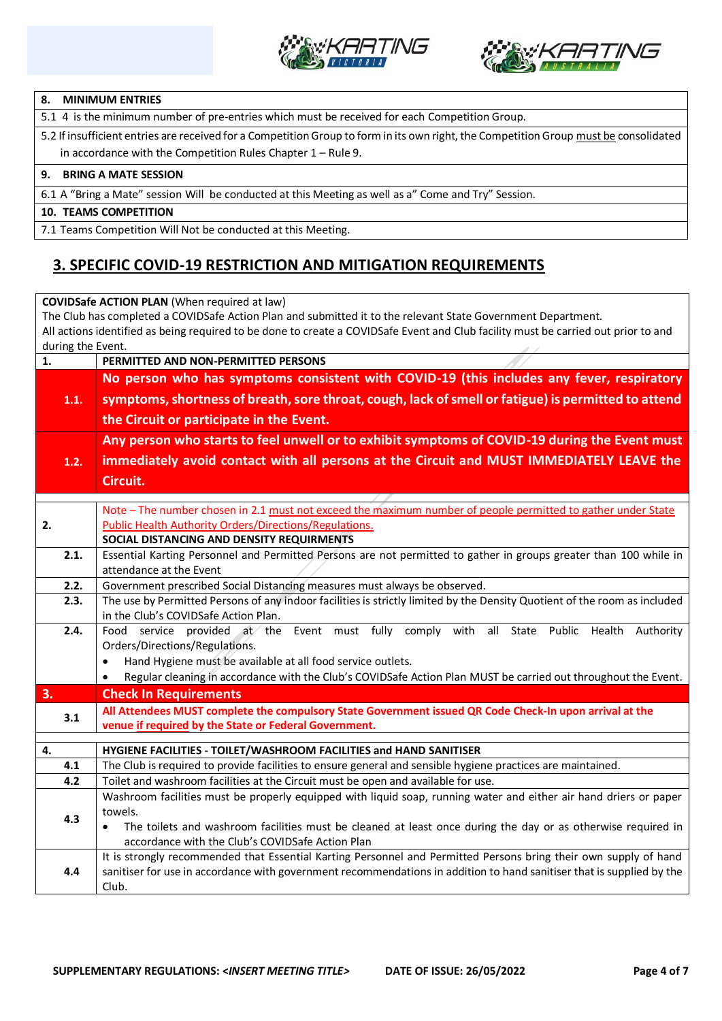



#### **8. MINIMUM ENTRIES**

5.1 4 is the minimum number of pre-entries which must be received for each Competition Group.

5.2 If insufficient entries are received for a Competition Group to form in its own right, the Competition Group must be consolidated in accordance with the Competition Rules Chapter 1 – Rule 9.

#### **9. BRING A MATE SESSION**

6.1 A "Bring a Mate" session Will be conducted at this Meeting as well as a" Come and Try" Session.

#### **10. TEAMS COMPETITION**

7.1 Teams Competition Will Not be conducted at this Meeting.

### **3. SPECIFIC COVID-19 RESTRICTION AND MITIGATION REQUIREMENTS**

|                                                                                                                                    | <b>COVIDSafe ACTION PLAN (When required at law)</b>                                                                         |  |  |  |  |
|------------------------------------------------------------------------------------------------------------------------------------|-----------------------------------------------------------------------------------------------------------------------------|--|--|--|--|
| The Club has completed a COVIDSafe Action Plan and submitted it to the relevant State Government Department.                       |                                                                                                                             |  |  |  |  |
| All actions identified as being required to be done to create a COVIDSafe Event and Club facility must be carried out prior to and |                                                                                                                             |  |  |  |  |
| during the Event.                                                                                                                  |                                                                                                                             |  |  |  |  |
| 1.                                                                                                                                 | PERMITTED AND NON-PERMITTED PERSONS                                                                                         |  |  |  |  |
|                                                                                                                                    | No person who has symptoms consistent with COVID-19 (this includes any fever, respiratory                                   |  |  |  |  |
| 1.1.                                                                                                                               | symptoms, shortness of breath, sore throat, cough, lack of smell or fatigue) is permitted to attend                         |  |  |  |  |
|                                                                                                                                    | the Circuit or participate in the Event.                                                                                    |  |  |  |  |
|                                                                                                                                    |                                                                                                                             |  |  |  |  |
|                                                                                                                                    | Any person who starts to feel unwell or to exhibit symptoms of COVID-19 during the Event must                               |  |  |  |  |
| 1.2.                                                                                                                               | immediately avoid contact with all persons at the Circuit and MUST IMMEDIATELY LEAVE the                                    |  |  |  |  |
|                                                                                                                                    | Circuit.                                                                                                                    |  |  |  |  |
|                                                                                                                                    |                                                                                                                             |  |  |  |  |
|                                                                                                                                    | Note - The number chosen in 2.1 must not exceed the maximum number of people permitted to gather under State                |  |  |  |  |
| 2.                                                                                                                                 | <b>Public Health Authority Orders/Directions/Regulations.</b>                                                               |  |  |  |  |
|                                                                                                                                    | SOCIAL DISTANCING AND DENSITY REQUIRMENTS                                                                                   |  |  |  |  |
| 2.1.                                                                                                                               | Essential Karting Personnel and Permitted Persons are not permitted to gather in groups greater than 100 while in           |  |  |  |  |
|                                                                                                                                    | attendance at the Event                                                                                                     |  |  |  |  |
| 2.2.                                                                                                                               | Government prescribed Social Distancing measures must always be observed.                                                   |  |  |  |  |
| 2.3.                                                                                                                               | The use by Permitted Persons of any indoor facilities is strictly limited by the Density Quotient of the room as included   |  |  |  |  |
|                                                                                                                                    | in the Club's COVIDSafe Action Plan.                                                                                        |  |  |  |  |
| 2.4.                                                                                                                               | Food service provided at the Event must fully comply with all State Public Health Authority                                 |  |  |  |  |
|                                                                                                                                    | Orders/Directions/Regulations.                                                                                              |  |  |  |  |
|                                                                                                                                    | Hand Hygiene must be available at all food service outlets.<br>$\bullet$                                                    |  |  |  |  |
|                                                                                                                                    | Regular cleaning in accordance with the Club's COVIDSafe Action Plan MUST be carried out throughout the Event.<br>$\bullet$ |  |  |  |  |
| 3.                                                                                                                                 | <b>Check In Requirements</b>                                                                                                |  |  |  |  |
| 3.1                                                                                                                                | All Attendees MUST complete the compulsory State Government issued QR Code Check-In upon arrival at the                     |  |  |  |  |
|                                                                                                                                    | venue if required by the State or Federal Government.                                                                       |  |  |  |  |
| 4.                                                                                                                                 | HYGIENE FACILITIES - TOILET/WASHROOM FACILITIES and HAND SANITISER                                                          |  |  |  |  |
| 4.1                                                                                                                                | The Club is required to provide facilities to ensure general and sensible hygiene practices are maintained.                 |  |  |  |  |
| 4.2                                                                                                                                | Toilet and washroom facilities at the Circuit must be open and available for use.                                           |  |  |  |  |
|                                                                                                                                    | Washroom facilities must be properly equipped with liquid soap, running water and either air hand driers or paper           |  |  |  |  |
| 4.3                                                                                                                                | towels.                                                                                                                     |  |  |  |  |
|                                                                                                                                    | The toilets and washroom facilities must be cleaned at least once during the day or as otherwise required in                |  |  |  |  |
|                                                                                                                                    | accordance with the Club's COVIDSafe Action Plan                                                                            |  |  |  |  |
|                                                                                                                                    | It is strongly recommended that Essential Karting Personnel and Permitted Persons bring their own supply of hand            |  |  |  |  |
| 4.4                                                                                                                                | sanitiser for use in accordance with government recommendations in addition to hand sanitiser that is supplied by the       |  |  |  |  |
|                                                                                                                                    | Club.                                                                                                                       |  |  |  |  |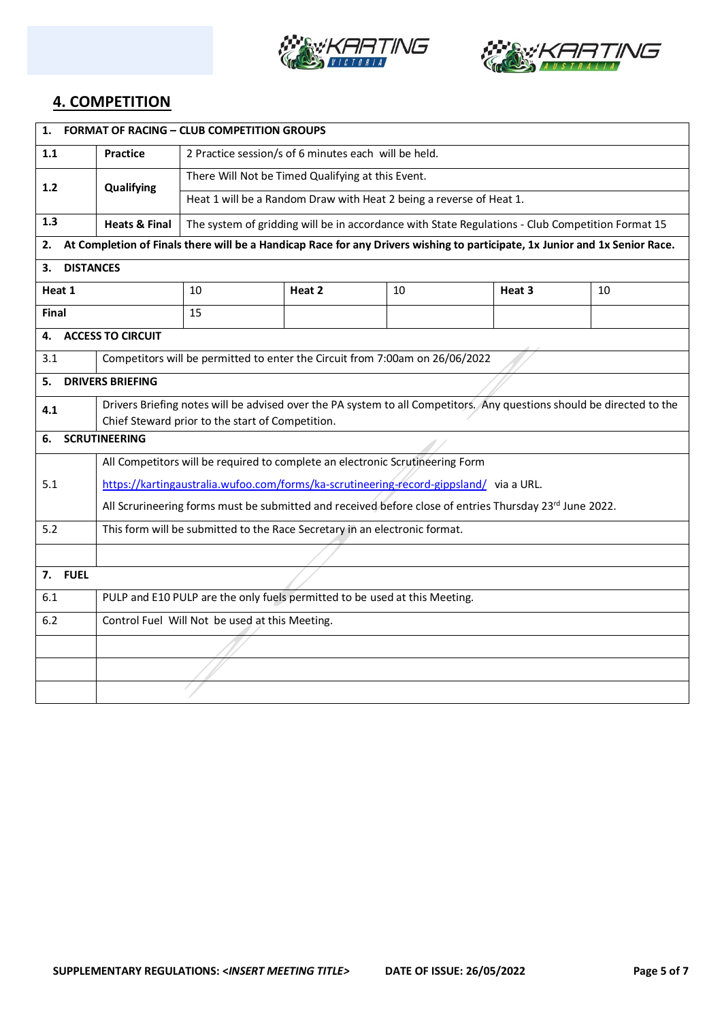



### **4. COMPETITION**

| 1.<br><b>FORMAT OF RACING - CLUB COMPETITION GROUPS</b> |                                                                                                                       |                                                                                                  |        |    |        |                                                                                                                             |  |
|---------------------------------------------------------|-----------------------------------------------------------------------------------------------------------------------|--------------------------------------------------------------------------------------------------|--------|----|--------|-----------------------------------------------------------------------------------------------------------------------------|--|
| 1.1                                                     | <b>Practice</b>                                                                                                       | 2 Practice session/s of 6 minutes each will be held.                                             |        |    |        |                                                                                                                             |  |
| $1.2$                                                   | Qualifying                                                                                                            | There Will Not be Timed Qualifying at this Event.                                                |        |    |        |                                                                                                                             |  |
|                                                         |                                                                                                                       | Heat 1 will be a Random Draw with Heat 2 being a reverse of Heat 1.                              |        |    |        |                                                                                                                             |  |
| 1.3                                                     | <b>Heats &amp; Final</b>                                                                                              | The system of gridding will be in accordance with State Regulations - Club Competition Format 15 |        |    |        |                                                                                                                             |  |
| 2.                                                      |                                                                                                                       |                                                                                                  |        |    |        | At Completion of Finals there will be a Handicap Race for any Drivers wishing to participate, 1x Junior and 1x Senior Race. |  |
| <b>DISTANCES</b><br>3.                                  |                                                                                                                       |                                                                                                  |        |    |        |                                                                                                                             |  |
| Heat 1                                                  |                                                                                                                       | 10                                                                                               | Heat 2 | 10 | Heat 3 | 10                                                                                                                          |  |
| Final                                                   |                                                                                                                       | 15                                                                                               |        |    |        |                                                                                                                             |  |
| 4.                                                      | <b>ACCESS TO CIRCUIT</b>                                                                                              |                                                                                                  |        |    |        |                                                                                                                             |  |
| 3.1                                                     |                                                                                                                       | Competitors will be permitted to enter the Circuit from 7:00am on 26/06/2022                     |        |    |        |                                                                                                                             |  |
| 5.                                                      | <b>DRIVERS BRIEFING</b>                                                                                               |                                                                                                  |        |    |        |                                                                                                                             |  |
| 4.1                                                     | Drivers Briefing notes will be advised over the PA system to all Competitors. Any questions should be directed to the |                                                                                                  |        |    |        |                                                                                                                             |  |
|                                                         | Chief Steward prior to the start of Competition.                                                                      |                                                                                                  |        |    |        |                                                                                                                             |  |
| 6.                                                      | <b>SCRUTINEERING</b>                                                                                                  |                                                                                                  |        |    |        |                                                                                                                             |  |
|                                                         | All Competitors will be required to complete an electronic Scrutineering Form                                         |                                                                                                  |        |    |        |                                                                                                                             |  |
| 5.1                                                     | https://kartingaustralia.wufoo.com/forms/ka-scrutineering-record-gippsland/ via a URL.                                |                                                                                                  |        |    |        |                                                                                                                             |  |
|                                                         | All Scrurineering forms must be submitted and received before close of entries Thursday 23rd June 2022.               |                                                                                                  |        |    |        |                                                                                                                             |  |
| 5.2                                                     | This form will be submitted to the Race Secretary in an electronic format.                                            |                                                                                                  |        |    |        |                                                                                                                             |  |
|                                                         |                                                                                                                       |                                                                                                  |        |    |        |                                                                                                                             |  |
| 7. FUEL                                                 |                                                                                                                       |                                                                                                  |        |    |        |                                                                                                                             |  |
| 6.1                                                     |                                                                                                                       | PULP and E10 PULP are the only fuels permitted to be used at this Meeting.                       |        |    |        |                                                                                                                             |  |
| 6.2                                                     |                                                                                                                       | Control Fuel Will Not be used at this Meeting.                                                   |        |    |        |                                                                                                                             |  |
|                                                         |                                                                                                                       |                                                                                                  |        |    |        |                                                                                                                             |  |
|                                                         |                                                                                                                       |                                                                                                  |        |    |        |                                                                                                                             |  |
|                                                         |                                                                                                                       |                                                                                                  |        |    |        |                                                                                                                             |  |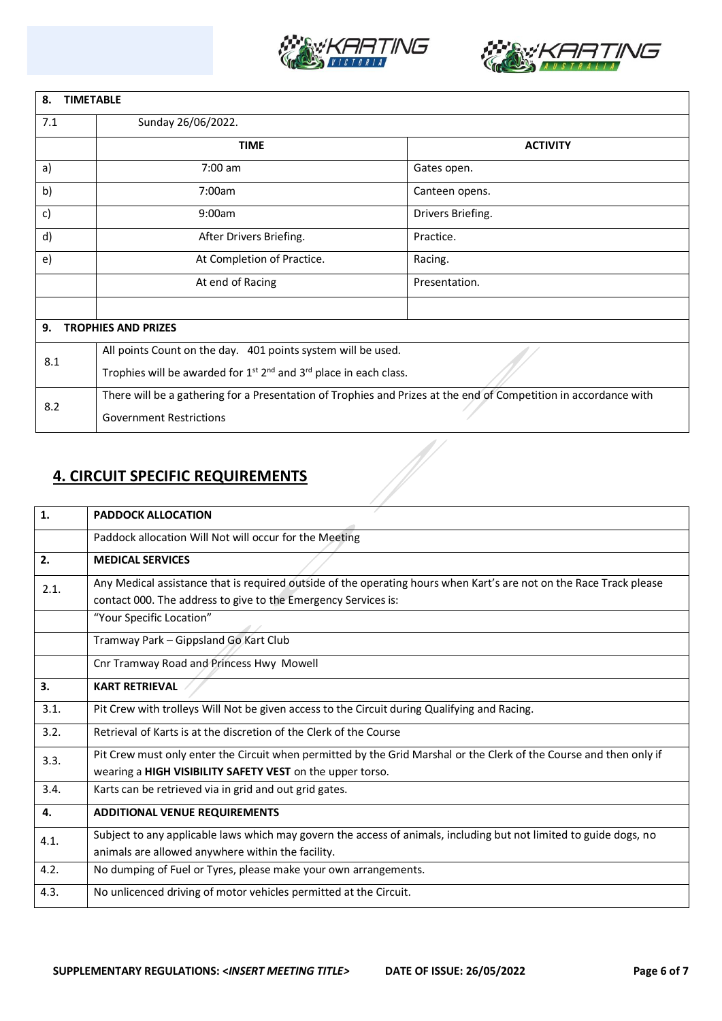



| <b>TIMETABLE</b><br>8.           |                                                                                                                  |                   |  |  |  |
|----------------------------------|------------------------------------------------------------------------------------------------------------------|-------------------|--|--|--|
| 7.1                              | Sunday 26/06/2022.                                                                                               |                   |  |  |  |
|                                  | <b>TIME</b>                                                                                                      | <b>ACTIVITY</b>   |  |  |  |
| a)                               | $7:00$ am                                                                                                        | Gates open.       |  |  |  |
| b)                               | 7:00am                                                                                                           | Canteen opens.    |  |  |  |
| c)                               | 9:00am                                                                                                           | Drivers Briefing. |  |  |  |
| d)                               | After Drivers Briefing.                                                                                          | Practice.         |  |  |  |
| e)                               | At Completion of Practice.                                                                                       | Racing.           |  |  |  |
|                                  | At end of Racing                                                                                                 | Presentation.     |  |  |  |
|                                  |                                                                                                                  |                   |  |  |  |
| 9.<br><b>TROPHIES AND PRIZES</b> |                                                                                                                  |                   |  |  |  |
| 8.1                              | All points Count on the day. 401 points system will be used.                                                     |                   |  |  |  |
|                                  | Trophies will be awarded for $1^{st}$ $2^{nd}$ and $3^{rd}$ place in each class.                                 |                   |  |  |  |
| 8.2                              | There will be a gathering for a Presentation of Trophies and Prizes at the end of Competition in accordance with |                   |  |  |  |
|                                  | <b>Government Restrictions</b>                                                                                   |                   |  |  |  |

## **4. CIRCUIT SPECIFIC REQUIREMENTS**

| 1.   | <b>PADDOCK ALLOCATION</b>                                                                                                                                                             |
|------|---------------------------------------------------------------------------------------------------------------------------------------------------------------------------------------|
|      | Paddock allocation Will Not will occur for the Meeting                                                                                                                                |
| 2.   | <b>MEDICAL SERVICES</b>                                                                                                                                                               |
| 2.1. | Any Medical assistance that is required outside of the operating hours when Kart's are not on the Race Track please<br>contact 000. The address to give to the Emergency Services is: |
|      | "Your Specific Location"                                                                                                                                                              |
|      | Tramway Park - Gippsland Go Kart Club                                                                                                                                                 |
|      | Cnr Tramway Road and Princess Hwy Mowell                                                                                                                                              |
| 3.   | <b>KART RETRIEVAL</b>                                                                                                                                                                 |
| 3.1. | Pit Crew with trolleys Will Not be given access to the Circuit during Qualifying and Racing.                                                                                          |
| 3.2. | Retrieval of Karts is at the discretion of the Clerk of the Course                                                                                                                    |
| 3.3. | Pit Crew must only enter the Circuit when permitted by the Grid Marshal or the Clerk of the Course and then only if<br>wearing a HIGH VISIBILITY SAFETY VEST on the upper torso.      |
| 3.4. | Karts can be retrieved via in grid and out grid gates.                                                                                                                                |
| 4.   | <b>ADDITIONAL VENUE REQUIREMENTS</b>                                                                                                                                                  |
| 4.1. | Subject to any applicable laws which may govern the access of animals, including but not limited to guide dogs, no<br>animals are allowed anywhere within the facility.               |
| 4.2. | No dumping of Fuel or Tyres, please make your own arrangements.                                                                                                                       |
| 4.3. | No unlicenced driving of motor vehicles permitted at the Circuit.                                                                                                                     |